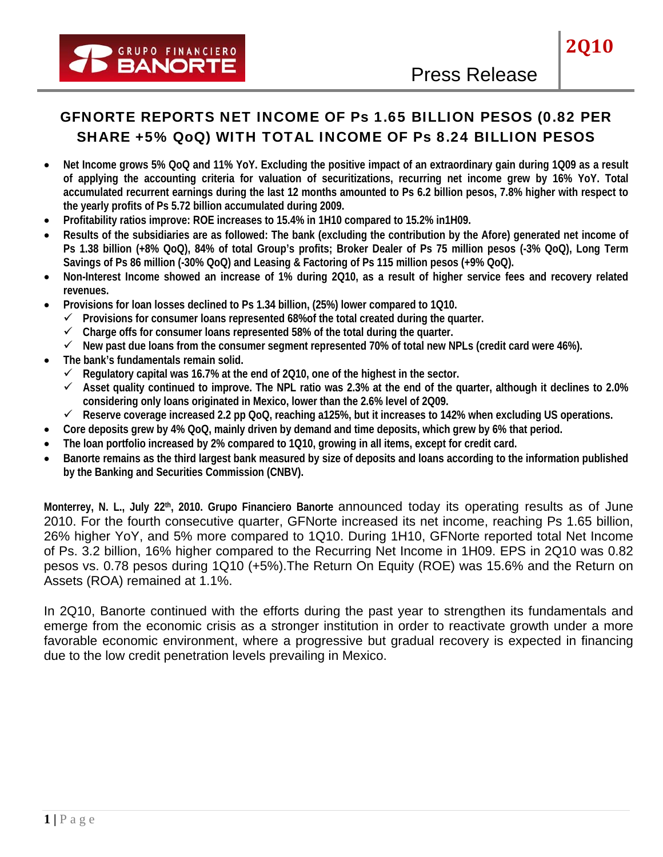# GFNORTE REPORTS NET INCOME OF Ps 1.65 BILLION PESOS (0.82 PER SHARE +5% QoQ) WITH TOTAL INCOME OF Ps 8.24 BILLION PESOS

- **Net Income grows 5% QoQ and 11% YoY. Excluding the positive impact of an extraordinary gain during 1Q09 as a result of applying the accounting criteria for valuation of securitizations, recurring net income grew by 16% YoY. Total accumulated recurrent earnings during the last 12 months amounted to Ps 6.2 billion pesos, 7.8% higher with respect to the yearly profits of Ps 5.72 billion accumulated during 2009.**
- **Profitability ratios improve: ROE increases to 15.4% in 1H10 compared to 15.2% in1H09.**
- **Results of the subsidiaries are as followed: The bank (excluding the contribution by the Afore) generated net income of Ps 1.38 billion (+8% QoQ), 84% of total Group's profits; Broker Dealer of Ps 75 million pesos (-3% QoQ), Long Term Savings of Ps 86 million (-30% QoQ) and Leasing & Factoring of Ps 115 million pesos (+9% QoQ).**
- **Non-Interest Income showed an increase of 1% during 2Q10, as a result of higher service fees and recovery related revenues.**
- **Provisions for loan losses declined to Ps 1.34 billion, (25%) lower compared to 1Q10.** 
	- 9 **Provisions for consumer loans represented 68%of the total created during the quarter.**
	- 9 **Charge offs for consumer loans represented 58% of the total during the quarter.**
	- $\checkmark$  New past due loans from the consumer segment represented 70% of total new NPLs (credit card were 46%).
- **The bank's fundamentals remain solid.** 
	- $\checkmark$  Regulatory capital was 16.7% at the end of 2Q10, one of the highest in the sector.
	- 9 **Asset quality continued to improve. The NPL ratio was 2.3% at the end of the quarter, although it declines to 2.0% considering only loans originated in Mexico, lower than the 2.6% level of 2Q09.**
	- 9 **Reserve coverage increased 2.2 pp QoQ, reaching a125%, but it increases to 142% when excluding US operations.**
- **Core deposits grew by 4% QoQ, mainly driven by demand and time deposits, which grew by 6% that period.**
- **The loan portfolio increased by 2% compared to 1Q10, growing in all items, except for credit card.**
- **Banorte remains as the third largest bank measured by size of deposits and loans according to the information published by the Banking and Securities Commission (CNBV).**

**Monterrey, N. L., July 22th, 2010. Grupo Financiero Banorte** announced today its operating results as of June 2010. For the fourth consecutive quarter, GFNorte increased its net income, reaching Ps 1.65 billion, 26% higher YoY, and 5% more compared to 1Q10. During 1H10, GFNorte reported total Net Income of Ps. 3.2 billion, 16% higher compared to the Recurring Net Income in 1H09. EPS in 2Q10 was 0.82 pesos vs. 0.78 pesos during 1Q10 (+5%).The Return On Equity (ROE) was 15.6% and the Return on Assets (ROA) remained at 1.1%.

In 2Q10, Banorte continued with the efforts during the past year to strengthen its fundamentals and emerge from the economic crisis as a stronger institution in order to reactivate growth under a more favorable economic environment, where a progressive but gradual recovery is expected in financing due to the low credit penetration levels prevailing in Mexico.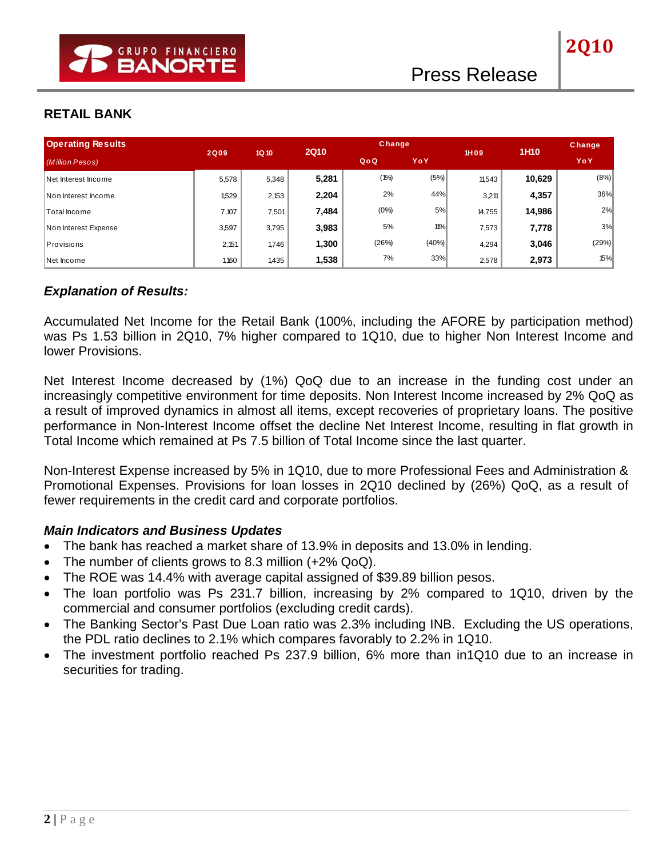# **RETAIL BANK**

| <b>Operating Results</b> |             |                  | <b>2Q10</b> |         | <b>Change</b> |        | 1H <sub>10</sub> | <b>Change</b> |
|--------------------------|-------------|------------------|-------------|---------|---------------|--------|------------------|---------------|
| (Million Pesos)          | <b>2Q09</b> | 1Q <sub>10</sub> |             | QoQ     | YoY           | 1H09   |                  | YoY           |
| Net Interest Income      | 5,578       | 5,348            | 5,281       | $(1\%)$ | (5%)          | 11.543 | 10,629           | (8%)          |
| Non Interest Income      | 1,529       | 2,153            | 2,204       | 2%      | 44%           | 3,211  | 4,357            | 36%           |
| Total Income             | 7,107       | 7,501            | 7,484       | $(0\%)$ | 5%            | 14,755 | 14,986           | 2%            |
| Non Interest Expense     | 3,597       | 3,795            | 3,983       | 5%      | 11%           | 7,573  | 7,778            | 3%            |
| Provisions               | 2,151       | 1,746            | 1,300       | (26%)   | (40%)         | 4,294  | 3,046            | (29%)         |
| Net Income               | 1,160       | 1,435            | 1,538       | 7%      | 33%           | 2,578  | 2,973            | 15%           |

## *Explanation of Results:*

Accumulated Net Income for the Retail Bank (100%, including the AFORE by participation method) was Ps 1.53 billion in 2Q10, 7% higher compared to 1Q10, due to higher Non Interest Income and lower Provisions.

Net Interest Income decreased by (1%) QoQ due to an increase in the funding cost under an increasingly competitive environment for time deposits. Non Interest Income increased by 2% QoQ as a result of improved dynamics in almost all items, except recoveries of proprietary loans. The positive performance in Non-Interest Income offset the decline Net Interest Income, resulting in flat growth in Total Income which remained at Ps 7.5 billion of Total Income since the last quarter.

Non-Interest Expense increased by 5% in 1Q10, due to more Professional Fees and Administration & Promotional Expenses. Provisions for loan losses in 2Q10 declined by (26%) QoQ, as a result of fewer requirements in the credit card and corporate portfolios.

- The bank has reached a market share of 13.9% in deposits and 13.0% in lending.
- The number of clients grows to 8.3 million (+2% QoQ).
- The ROE was 14.4% with average capital assigned of \$39.89 billion pesos.
- The loan portfolio was Ps 231.7 billion, increasing by 2% compared to 1Q10, driven by the commercial and consumer portfolios (excluding credit cards).
- The Banking Sector's Past Due Loan ratio was 2.3% including INB. Excluding the US operations, the PDL ratio declines to 2.1% which compares favorably to 2.2% in 1Q10.
- The investment portfolio reached Ps 237.9 billion, 6% more than in1Q10 due to an increase in securities for trading.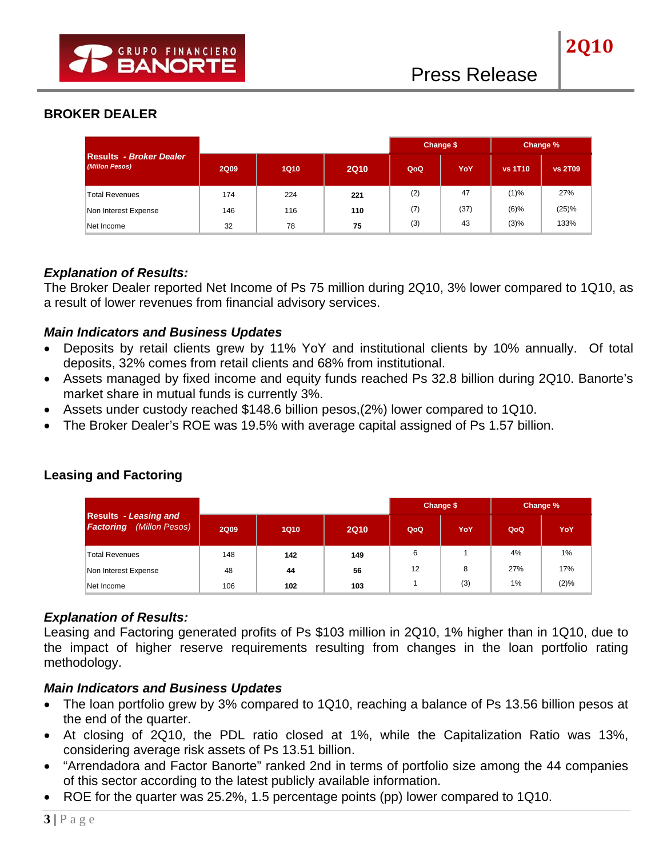|                                                  |             |             |             |     | Change \$ | Change %       |                |
|--------------------------------------------------|-------------|-------------|-------------|-----|-----------|----------------|----------------|
| <b>Results - Broker Dealer</b><br>(Millon Pesos) | <b>2Q09</b> | <b>1Q10</b> | <b>2Q10</b> | QoQ | YoY       | <b>vs 1T10</b> | <b>vs 2T09</b> |
| <b>Total Revenues</b>                            | 174         | 224         | 221         | (2) | 47        | (1)%           | 27%            |
| Non Interest Expense                             | 146         | 116         | 110         | (7) | (37)      | $(6)\%$        | (25)%          |
| Net Income                                       | 32          | 78          | 75          | (3) | 43        | (3)%           | 133%           |

### *Explanation of Results:*

The Broker Dealer reported Net Income of Ps 75 million during 2Q10, 3% lower compared to 1Q10, as a result of lower revenues from financial advisory services.

### *Main Indicators and Business Updates*

- Deposits by retail clients grew by 11% YoY and institutional clients by 10% annually. Of total deposits, 32% comes from retail clients and 68% from institutional.
- Assets managed by fixed income and equity funds reached Ps 32.8 billion during 2Q10. Banorte's market share in mutual funds is currently 3%.
- Assets under custody reached \$148.6 billion pesos,(2%) lower compared to 1Q10.
- The Broker Dealer's ROE was 19.5% with average capital assigned of Ps 1.57 billion.

|                                                                    |             |             |             |     | Change \$ | Change % |         |
|--------------------------------------------------------------------|-------------|-------------|-------------|-----|-----------|----------|---------|
| <b>Results</b> - Leasing and<br>(Millon Pesos)<br><b>Factoring</b> | <b>2Q09</b> | <b>1Q10</b> | <b>2Q10</b> | QoQ | YoY       | QoQ      | YoY     |
| Total Revenues                                                     | 148         | 142         | 149         | 6   |           | 4%       | $1\%$   |
| Non Interest Expense                                               | 48          | 44          | 56          | 12  | 8         | 27%      | 17%     |
| Net Income                                                         | 106         | 102         | 103         |     | (3)       | $1\%$    | $(2)\%$ |

# **Leasing and Factoring**

### *Explanation of Results:*

Leasing and Factoring generated profits of Ps \$103 million in 2Q10, 1% higher than in 1Q10, due to the impact of higher reserve requirements resulting from changes in the loan portfolio rating methodology.

- The loan portfolio grew by 3% compared to 1Q10, reaching a balance of Ps 13.56 billion pesos at the end of the quarter.
- At closing of 2Q10, the PDL ratio closed at 1%, while the Capitalization Ratio was 13%, considering average risk assets of Ps 13.51 billion.
- "Arrendadora and Factor Banorte" ranked 2nd in terms of portfolio size among the 44 companies of this sector according to the latest publicly available information.
- ROE for the quarter was 25.2%, 1.5 percentage points (pp) lower compared to 1Q10.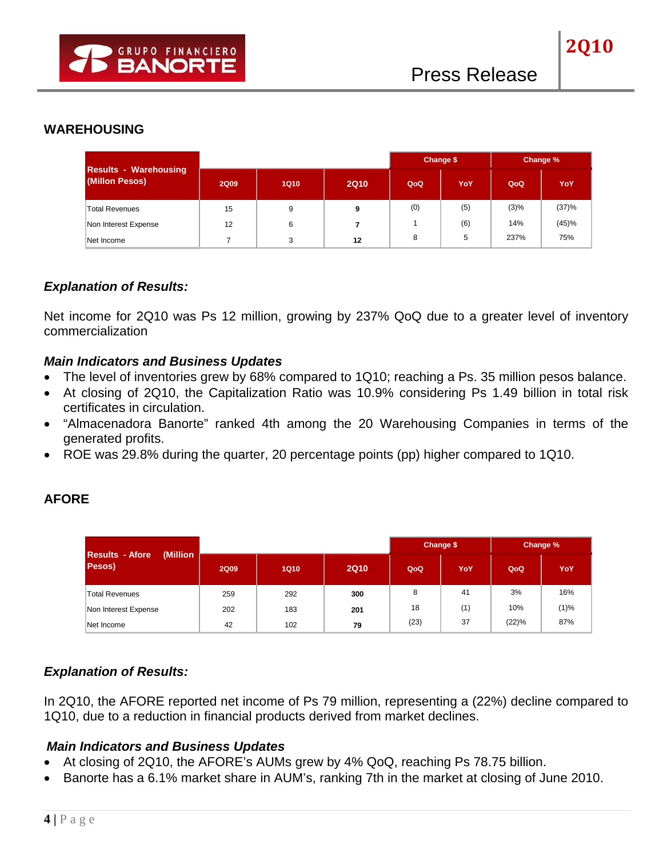|                                                |             |             |             |     | Change \$ | Change % |       |
|------------------------------------------------|-------------|-------------|-------------|-----|-----------|----------|-------|
| <b>Results - Warehousing</b><br>(Millon Pesos) | <b>2Q09</b> | <b>1Q10</b> | <b>2Q10</b> | QoQ | YoY       | QoQ      | YoY   |
| <b>Total Revenues</b>                          | 15          | 9           | 9           | (0) | (5)       | $(3)\%$  | (37)% |
| Non Interest Expense                           | 12          | 6           |             |     | (6)       | 14%      | (45)% |
| Net Income                                     |             | 3           | 12          | 8   | 5         | 237%     | 75%   |

## *Explanation of Results:*

Net income for 2Q10 was Ps 12 million, growing by 237% QoQ due to a greater level of inventory commercialization

## *Main Indicators and Business Updates*

- The level of inventories grew by 68% compared to 1Q10; reaching a Ps. 35 million pesos balance.
- At closing of 2Q10, the Capitalization Ratio was 10.9% considering Ps 1.49 billion in total risk certificates in circulation.
- "Almacenadora Banorte" ranked 4th among the 20 Warehousing Companies in terms of the generated profits.
- ROE was 29.8% during the quarter, 20 percentage points (pp) higher compared to 1Q10.

# **AFORE**

|                                        |             |             |             |      | Change \$ | Change % |      |
|----------------------------------------|-------------|-------------|-------------|------|-----------|----------|------|
| Results - Afore<br>(Million)<br>Pesos) | <b>2Q09</b> | <b>1Q10</b> | <b>2Q10</b> | QoQ  | YoY       | QoQ      | YoY  |
| <b>Total Revenues</b>                  | 259         | 292         | 300         | 8    | 41        | 3%       | 16%  |
| Non Interest Expense                   | 202         | 183         | 201         | 18   | (1)       | 10%      | (1)% |
| Net Income                             | 42          | 102         | 79          | (23) | 37        | (22)%    | 87%  |

# *Explanation of Results:*

In 2Q10, the AFORE reported net income of Ps 79 million, representing a (22%) decline compared to 1Q10, due to a reduction in financial products derived from market declines.

- At closing of 2Q10, the AFORE's AUMs grew by 4% QoQ, reaching Ps 78.75 billion.
- Banorte has a 6.1% market share in AUM's, ranking 7th in the market at closing of June 2010.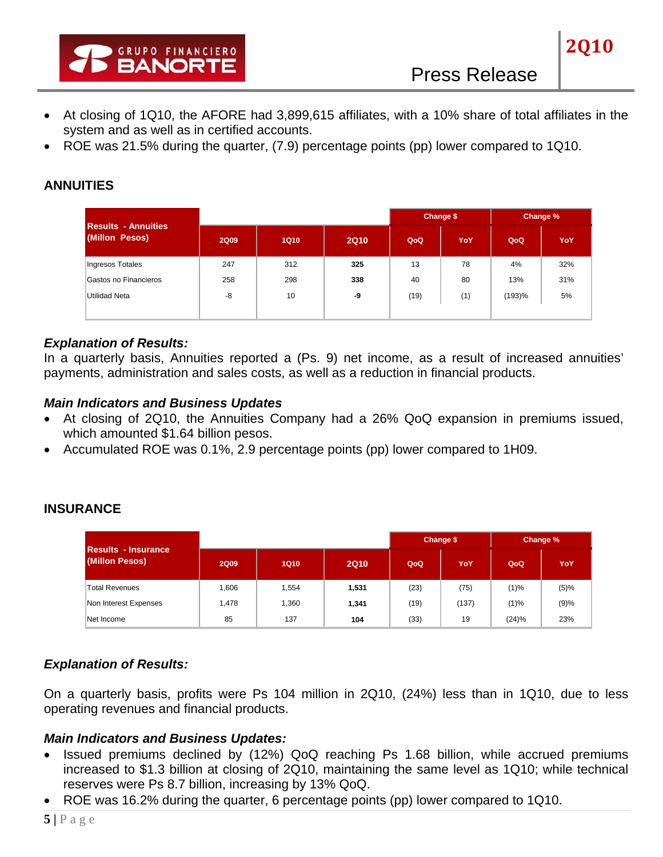

• ROE was 21.5% during the quarter, (7.9) percentage points (pp) lower compared to 1Q10.

# **ANNUITIES**

| <b>Results - Annuities</b> |             |             |             |      | Change \$ | Change % |     |
|----------------------------|-------------|-------------|-------------|------|-----------|----------|-----|
| (Millon Pesos)             | <b>2Q09</b> | <b>1Q10</b> | <b>2Q10</b> | QoQ  | YoY       | QoQ      | YoY |
| Ingresos Totales           | 247         | 312         | 325         | 13   | 78        | 4%       | 32% |
| Gastos no Financieros      | 258         | 298         | 338         | 40   | 80        | 13%      | 31% |
| Utilidad Neta              | -8          | 10          | -9          | (19) | (1)       | (193)%   | 5%  |
|                            |             |             |             |      |           |          |     |

## *Explanation of Results:*

In a quarterly basis, Annuities reported a (Ps. 9) net income, as a result of increased annuities' payments, administration and sales costs, as well as a reduction in financial products.

### *Main Indicators and Business Updates*

- At closing of 2Q10, the Annuities Company had a 26% QoQ expansion in premiums issued, which amounted \$1.64 billion pesos.
- Accumulated ROE was 0.1%, 2.9 percentage points (pp) lower compared to 1H09.

### **INSURANCE**

| <b>Results - Insurance</b><br>(Millon Pesos) |             |             |             |      | Change \$ | Change % |         |
|----------------------------------------------|-------------|-------------|-------------|------|-----------|----------|---------|
|                                              | <b>2Q09</b> | <b>1Q10</b> | <b>2Q10</b> | QoQ  | YoY       | QoQ      | YoY     |
| <b>Total Revenues</b>                        | 1,606       | 1,554       | 1,531       | (23) | (75)      | $(1)\%$  | $(5)\%$ |
| Non Interest Expenses                        | 1,478       | 1,360       | 1,341       | (19) | (137)     | (1)%     | (9)%    |
| Net Income                                   | 85          | 137         | 104         | (33) | 19        | (24)%    | 23%     |

# *Explanation of Results:*

On a quarterly basis, profits were Ps 104 million in 2Q10, (24%) less than in 1Q10, due to less operating revenues and financial products.

- Issued premiums declined by (12%) QoQ reaching Ps 1.68 billion, while accrued premiums increased to \$1.3 billion at closing of 2Q10, maintaining the same level as 1Q10; while technical reserves were Ps 8.7 billion, increasing by 13% QoQ.
- ROE was 16.2% during the quarter, 6 percentage points (pp) lower compared to 1Q10.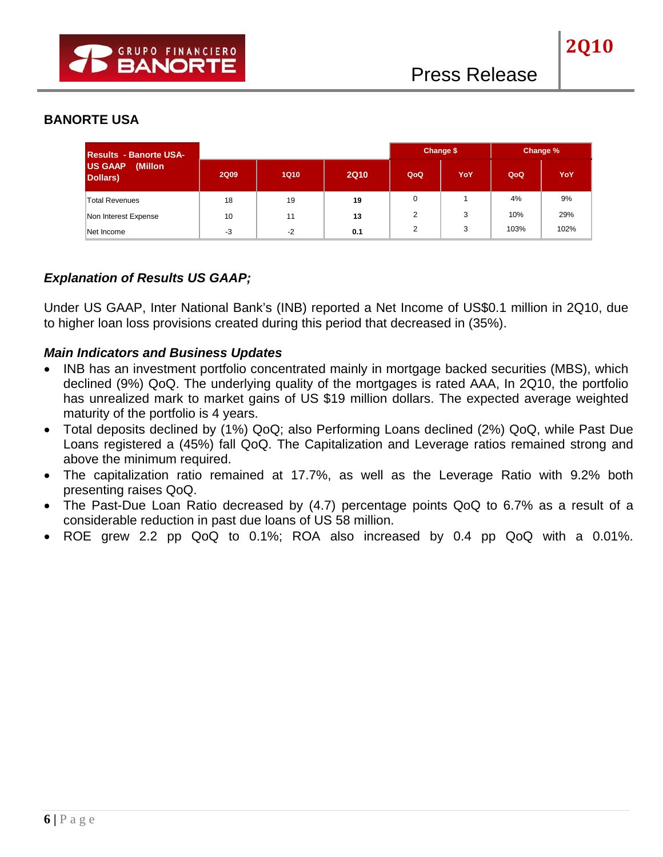### **BANORTE USA**

| <b>Results - Banorte USA-</b>         |             |      |             |     | Change \$ | Change % |      |
|---------------------------------------|-------------|------|-------------|-----|-----------|----------|------|
| <b>US GAAP</b><br>(Millon<br>Dollars) | <b>2Q09</b> | 1Q10 | <b>2Q10</b> | QoQ | YoY       | QoQ      | YoY  |
| <b>Total Revenues</b>                 | 18          | 19   | 19          |     |           | 4%       | 9%   |
| Non Interest Expense                  | 10          | 11   | 13          |     | 3         | 10%      | 29%  |
| Net Income                            | $-3$        | $-2$ | 0.1         | ◠   | 3         | 103%     | 102% |

## *Explanation of Results US GAAP;*

Under US GAAP, Inter National Bank's (INB) reported a Net Income of US\$0.1 million in 2Q10, due to higher loan loss provisions created during this period that decreased in (35%).

- INB has an investment portfolio concentrated mainly in mortgage backed securities (MBS), which declined (9%) QoQ. The underlying quality of the mortgages is rated AAA, In 2Q10, the portfolio has unrealized mark to market gains of US \$19 million dollars. The expected average weighted maturity of the portfolio is 4 years.
- Total deposits declined by (1%) QoQ; also Performing Loans declined (2%) QoQ, while Past Due Loans registered a (45%) fall QoQ. The Capitalization and Leverage ratios remained strong and above the minimum required.
- The capitalization ratio remained at 17.7%, as well as the Leverage Ratio with 9.2% both presenting raises QoQ.
- The Past-Due Loan Ratio decreased by (4.7) percentage points QoQ to 6.7% as a result of a considerable reduction in past due loans of US 58 million.
- ROE grew 2.2 pp QoQ to 0.1%; ROA also increased by 0.4 pp QoQ with a 0.01%.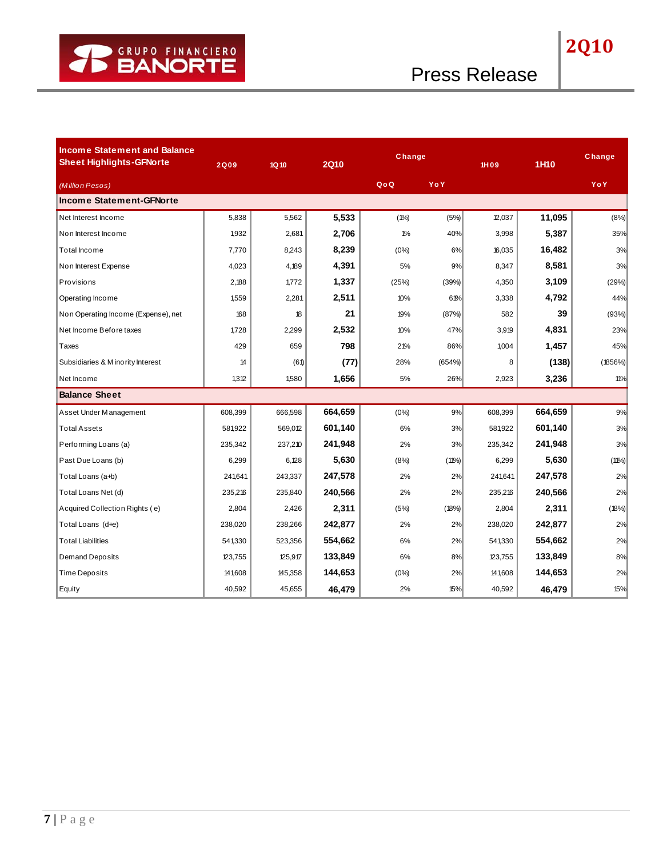| <b>Income Statement and Balance</b><br><b>Sheet Highlights-GFNorte</b> | <b>2Q09</b> | 1Q 10   | <b>2Q10</b> | Change  |          | 1H09    | 1H10    | Change  |
|------------------------------------------------------------------------|-------------|---------|-------------|---------|----------|---------|---------|---------|
| (Million Pesos)                                                        |             |         |             | QoQ     | YoY      |         |         | YoY     |
| <b>Income Statement-GFNorte</b>                                        |             |         |             |         |          |         |         |         |
| Net Interest Income                                                    | 5,838       | 5,562   | 5,533       | $(1\%)$ | (5%)     | 12,037  | 11,095  | (8%)    |
| Non Interest Income                                                    | 1,932       | 2,681   | 2,706       | $1\%$   | 40%      | 3,998   | 5,387   | 35%     |
| <b>Total Income</b>                                                    | 7,770       | 8,243   | 8,239       | (0%     | 6%       | 16,035  | 16,482  | 3%      |
| Non Interest Expense                                                   | 4,023       | 4,189   | 4,391       | 5%      | 9%       | 8,347   | 8,581   | 3%      |
| Provisions                                                             | 2,188       | 1,772   | 1,337       | (25%)   | (39%)    | 4,350   | 3,109   | (29%)   |
| Operating Income                                                       | 1,559       | 2,281   | 2,511       | 10%     | 61%      | 3,338   | 4,792   | 44%     |
| Non Operating Income (Expense), net                                    | 168         | 18      | 21          | 19%     | (87%)    | 582     | 39      | (93%)   |
| Net Income Before taxes                                                | 1,728       | 2,299   | 2,532       | 10%     | 47%      | 3,919   | 4,831   | 23%     |
| Taxes                                                                  | 429         | 659     | 798         | 21%     | 86%      | 1,004   | 1,457   | 45%     |
| Subsidiaries & M ino rity Interest                                     | 14          | (61)    | (77)        | 28%     | (654%)   | 8       | (138)   | (1856%) |
| Net Income                                                             | 1,312       | 1,580   | 1,656       | 5%      | 26%      | 2,923   | 3,236   | 11%     |
| <b>Balance Sheet</b>                                                   |             |         |             |         |          |         |         |         |
| Asset Under Management                                                 | 608,399     | 666,598 | 664,659     | (0%     | 9%       | 608,399 | 664,659 | 9%      |
| <b>Total Assets</b>                                                    | 581,922     | 569,012 | 601,140     | 6%      | 3%       | 581,922 | 601,140 | 3%      |
| Performing Loans (a)                                                   | 235,342     | 237,210 | 241,948     | 2%      | 3%       | 235,342 | 241,948 | 3%      |
| Past Due Loans (b)                                                     | 6,299       | 6,128   | 5,630       | (8%)    | $(11\%)$ | 6,299   | 5,630   | (11%)   |
| Total Loans (a+b)                                                      | 241,641     | 243,337 | 247,578     | 2%      | 2%       | 241,641 | 247,578 | 2%      |
| Total Loans Net (d)                                                    | 235,216     | 235,840 | 240,566     | 2%      | 2%       | 235,216 | 240,566 | 2%      |
| Acquired Collection Rights (e)                                         | 2,804       | 2,426   | 2,311       | (5%)    | (18%)    | 2,804   | 2,311   | (18%)   |
| Total Loans (d+e)                                                      | 238,020     | 238,266 | 242,877     | 2%      | 2%       | 238,020 | 242,877 | 2%      |
| <b>Total Liabilities</b>                                               | 541,330     | 523,356 | 554,662     | 6%      | 2%       | 541,330 | 554,662 | 2%      |
| Demand Deposits                                                        | 123,755     | 125,917 | 133,849     | 6%      | 8%       | 123,755 | 133,849 | 8%      |
| <b>Time Deposits</b>                                                   | 141,608     | 145,358 | 144,653     | $(0\%)$ | 2%       | 141,608 | 144,653 | 2%      |
| Equity                                                                 | 40,592      | 45,655  | 46,479      | 2%      | 15%      | 40,592  | 46,479  | 15%     |